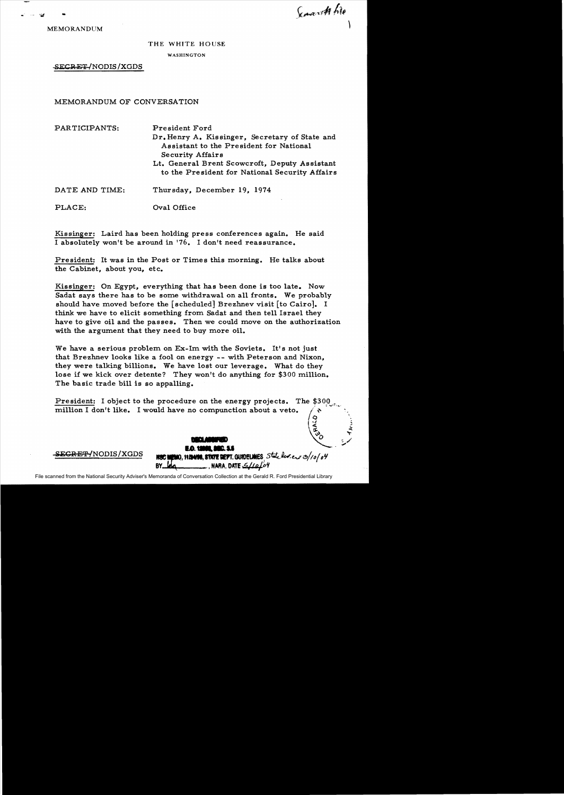Semant hie

'~

**.....**  ~D **1O. .....<sup>u</sup>** ,-,

MEMORANDUM

..

## THE WHITE HOUSE

WASHINGTON

SECRET-/NODIS/XGDS

MEMORANDUM OF CONVERSATION

| PARTICIPANTS: | President Ford                                                                            |
|---------------|-------------------------------------------------------------------------------------------|
|               | Dr. Henry A. Kissinger, Secretary of State and<br>Assistant to the President for National |
|               | <b>Security Affairs</b>                                                                   |
|               | Lt. General Brent Scowcroft, Deputy Assistant                                             |
|               | to the President for National Security Affairs                                            |
|               |                                                                                           |

DATE AND TIME: Thursday, December 19, 1974

PLACE: Oval Office

Kissinger: Laird has been holding press conferences again. He said I absolutely won't be around in '76. I don't need reassurance.

President: It was in the Post or Times this morning. He talks about the Cabinet, about you, etc.

Kissinger: On Egypt, everything that has been done is too late. Now Sadat says there has to be some withdrawal on all fronts. We probably should have moved before the [scheduled] Brezhnev visit [to Cairo]. I think we have to elicit something from Sadat and then tell Israel they have to give oil and the passes. Then we could move on the authorization with the argument that they need to buy more oil.

We have a serious problem on Ex-Im with the Soviets. It's not just that Brezhnev looks like a fool on energy -- with Peterson and Nixon, they were talking billions. We have lost our leverage. What do they lose if we kick over detente? They won't do anything for \$300 million. The basic trade bill is so appalling.

President: I object to the procedure on the energy projects. The \$300 million I don't like. I would have no compunction about a veto.  $\sqrt{3}$ 

S<del>ECRET/</del>NODIS/XGDS **#30 #200, 11 Mais. STATE DEPT. GUIDELMES** State lev.e., 3/10/04

File scanned from the National Security Adviser's Memoranda of Conversation Collection at the Gerald R. Ford Presidential Library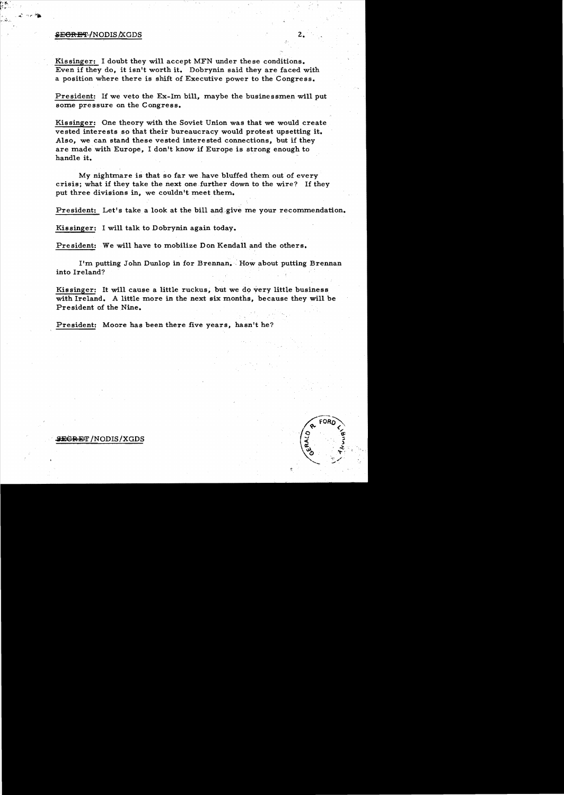## **SE<del>CRET</del> /**NODIS /XGDS 2.

Kissinger: I doubt they will accept MFN under these conditions. Even if they do, it isn't worth it. Dobrynin said they are faced with a position where there is shift of Executive power to the Congress.

President: If we veto the Ex-1m bill, maybe the businessmen will put some pressure on the Congress.

Kissinger: One theory with the Soviet Union was that we would create vested interests so that their bureaucracy would protest upsetting it. Also, we can stand these vested interested connections, but if they are made with Europe, I don't know if Europe is strong enough to handle it.

My nightmare is that so far we have bluffed them out of every crisis; what if they take the next one further down to the wire? If they put three divisions in, we couldn't meet them..

President: Let's take a look at the bill and give me your recommendation.

Kissinger: I will talk to Dobrynin again today.

President: We will have to mobilize Don Kendall and the others.

I'm putting John Dunlop in for Brennan.' How about putting Brennan into Ireland?

Kissinger: It will cause a little ruckus, but we do very little business with Ireland. A little more in the next six months, because they will be President of the Nine.

President: Moore has been there five years, hasn't he?

## **SEGRET /NODIS/XGDS**

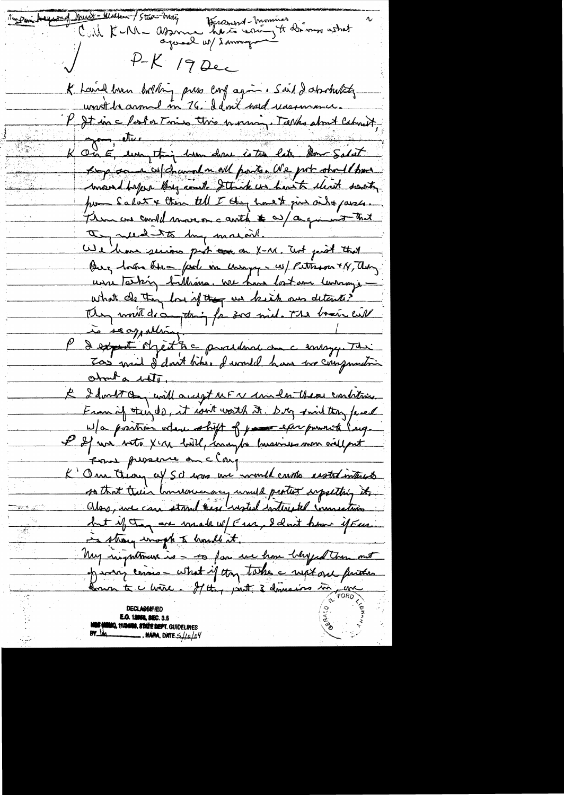in Dami Hager of Munt - Walker / Stew Mai Hersenant-mommer<br>here cruy to drive ashat Call KuM aro agoreal us sommign  $P-K$  19 Dec K Land loven bolton pres conf agin. Said I absolutely unot be around in 76. I don't weed unsommer. l'It inclustat mis this numeri. Talks short Catmett, K On E, un thing home done is to late. Am Salat Kop some coldrand a all partes We pot stoll trans convent before long and Strick in hast client santy por Salat + then tell I they haven jun and passes. Them are could move on a auth to a a given that I rue to by main. We have serious part can a X-M. Test perit that Buz hom his fad in compy we peterson x 14, day usse Tasking ballions, we have lost one learning. what do they be if they we kish our detente? Men mont des tous faises mid. The basic cit P d'expet objet à c production comme Thi Too mil d'dont bites. I would have two compountion about a title E I don't can will accept ut a conclu there contrare From if thinds, it isn't worth it. Dry smilting fever W/a praction where shift of your exerpowered long. I If we with Xir bill, inaugh husines were will put From prosence on clarge K' One theory cif Sc was one would custo easted interests so that their hondownay unuld protect important it. े<br>अक्षेत्र इ but if they are made w/ Eur, I clout how if Eur.<br>in strong wrough to homble it. My reignationed is - so for we have belyed there and of war crisis - what if they take a west one further Comme te c mere. Il they prent 3 demesires un parce **MA, SEC. 3.5 mio, 11/24/18, 87/172 dept.** Guidelines  $\_$  , nara, date  $\le$  // $_{0}/$  $\beta$ 4